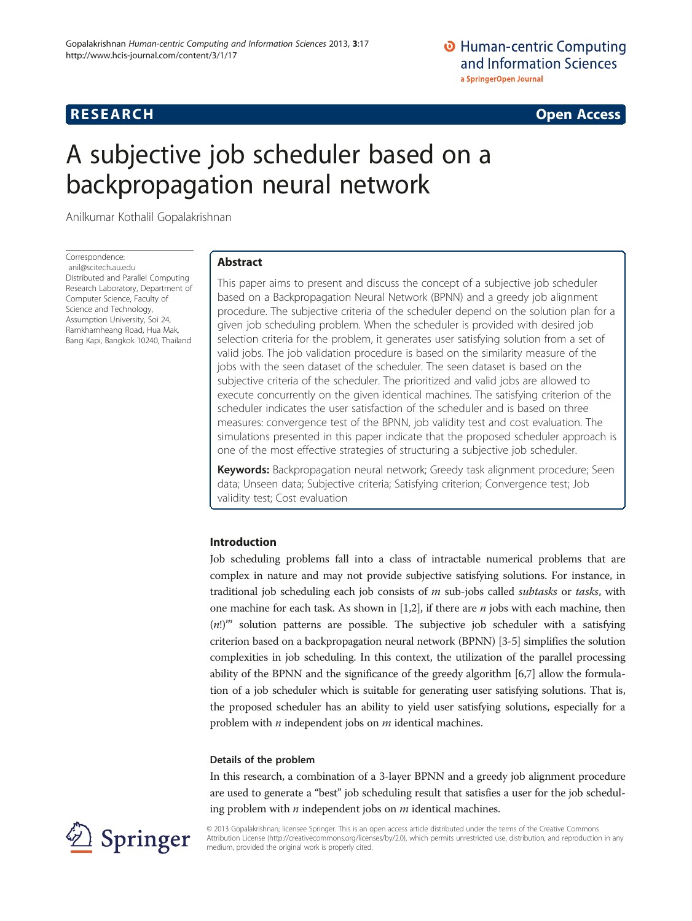## **RESEARCH RESEARCH CONSUMING ACCESS**

# A subjective job scheduler based on a backpropagation neural network

Anilkumar Kothalil Gopalakrishnan

Correspondence:

[anil@scitech.au.edu](mailto:anil@scitech.au.edu) Distributed and Parallel Computing Research Laboratory, Department of Computer Science, Faculty of Science and Technology, Assumption University, Soi 24, Ramkhamheang Road, Hua Mak, Bang Kapi, Bangkok 10240, Thailand

### Abstract

This paper aims to present and discuss the concept of a subjective job scheduler based on a Backpropagation Neural Network (BPNN) and a greedy job alignment procedure. The subjective criteria of the scheduler depend on the solution plan for a given job scheduling problem. When the scheduler is provided with desired job selection criteria for the problem, it generates user satisfying solution from a set of valid jobs. The job validation procedure is based on the similarity measure of the jobs with the seen dataset of the scheduler. The seen dataset is based on the subjective criteria of the scheduler. The prioritized and valid jobs are allowed to execute concurrently on the given identical machines. The satisfying criterion of the scheduler indicates the user satisfaction of the scheduler and is based on three measures: convergence test of the BPNN, job validity test and cost evaluation. The simulations presented in this paper indicate that the proposed scheduler approach is one of the most effective strategies of structuring a subjective job scheduler.

Keywords: Backpropagation neural network; Greedy task alignment procedure; Seen data; Unseen data; Subjective criteria; Satisfying criterion; Convergence test; Job validity test; Cost evaluation

#### Introduction

Job scheduling problems fall into a class of intractable numerical problems that are complex in nature and may not provide subjective satisfying solutions. For instance, in traditional job scheduling each job consists of  $m$  sub-jobs called *subtasks* or *tasks*, with one machine for each task. As shown in [\[1,2\]](#page-14-0), if there are  $n$  jobs with each machine, then  $(n!)^m$  solution patterns are possible. The subjective job scheduler with a satisfying criterion based on a backpropagation neural network (BPNN) [\[3](#page-14-0)-[5](#page-14-0)] simplifies the solution complexities in job scheduling. In this context, the utilization of the parallel processing ability of the BPNN and the significance of the greedy algorithm [\[6,7\]](#page-14-0) allow the formulation of a job scheduler which is suitable for generating user satisfying solutions. That is, the proposed scheduler has an ability to yield user satisfying solutions, especially for a problem with  $n$  independent jobs on  $m$  identical machines.

#### Details of the problem

In this research, a combination of a 3-layer BPNN and a greedy job alignment procedure are used to generate a "best" job scheduling result that satisfies a user for the job scheduling problem with  $n$  independent jobs on  $m$  identical machines.



© 2013 Gopalakrishnan; licensee Springer. This is an open access article distributed under the terms of the Creative Commons Attribution License [\(http://creativecommons.org/licenses/by/2.0\)](http://creativecommons.org/licenses/by/2.0), which permits unrestricted use, distribution, and reproduction in any medium, provided the original work is properly cited.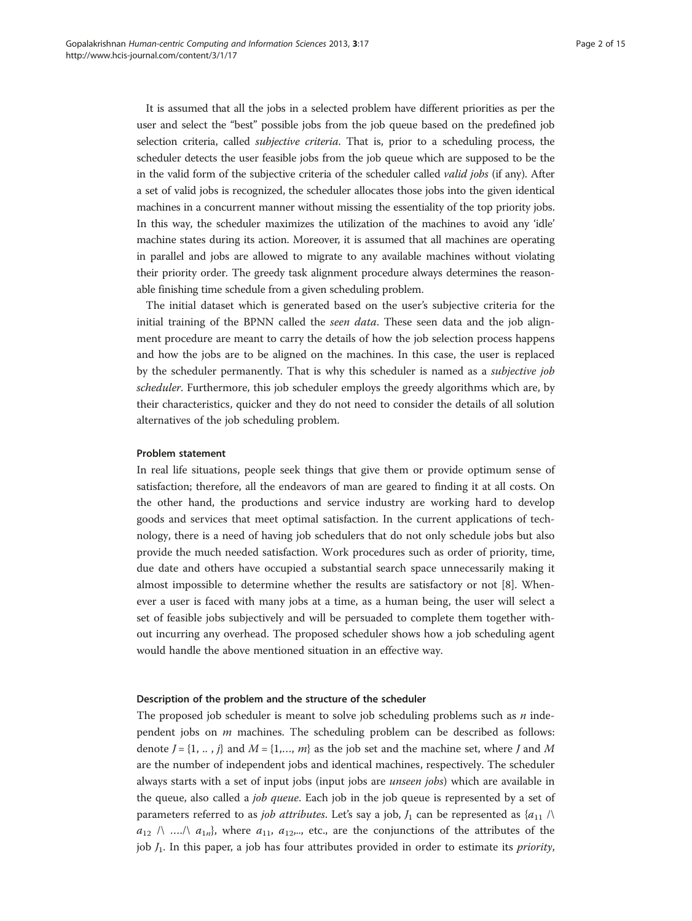It is assumed that all the jobs in a selected problem have different priorities as per the user and select the "best" possible jobs from the job queue based on the predefined job selection criteria, called *subjective criteria*. That is, prior to a scheduling process, the scheduler detects the user feasible jobs from the job queue which are supposed to be the in the valid form of the subjective criteria of the scheduler called *valid jobs* (if any). After a set of valid jobs is recognized, the scheduler allocates those jobs into the given identical machines in a concurrent manner without missing the essentiality of the top priority jobs. In this way, the scheduler maximizes the utilization of the machines to avoid any 'idle' machine states during its action. Moreover, it is assumed that all machines are operating in parallel and jobs are allowed to migrate to any available machines without violating their priority order. The greedy task alignment procedure always determines the reasonable finishing time schedule from a given scheduling problem.

The initial dataset which is generated based on the user's subjective criteria for the initial training of the BPNN called the *seen data*. These seen data and the job alignment procedure are meant to carry the details of how the job selection process happens and how the jobs are to be aligned on the machines. In this case, the user is replaced by the scheduler permanently. That is why this scheduler is named as a subjective job scheduler. Furthermore, this job scheduler employs the greedy algorithms which are, by their characteristics, quicker and they do not need to consider the details of all solution alternatives of the job scheduling problem.

#### Problem statement

In real life situations, people seek things that give them or provide optimum sense of satisfaction; therefore, all the endeavors of man are geared to finding it at all costs. On the other hand, the productions and service industry are working hard to develop goods and services that meet optimal satisfaction. In the current applications of technology, there is a need of having job schedulers that do not only schedule jobs but also provide the much needed satisfaction. Work procedures such as order of priority, time, due date and others have occupied a substantial search space unnecessarily making it almost impossible to determine whether the results are satisfactory or not [\[8\]](#page-14-0). Whenever a user is faced with many jobs at a time, as a human being, the user will select a set of feasible jobs subjectively and will be persuaded to complete them together without incurring any overhead. The proposed scheduler shows how a job scheduling agent would handle the above mentioned situation in an effective way.

#### Description of the problem and the structure of the scheduler

The proposed job scheduler is meant to solve job scheduling problems such as  $n$  independent jobs on  $m$  machines. The scheduling problem can be described as follows: denote  $J = \{1, ..., j\}$  and  $M = \{1, ..., m\}$  as the job set and the machine set, where J and M are the number of independent jobs and identical machines, respectively. The scheduler always starts with a set of input jobs (input jobs are unseen jobs) which are available in the queue, also called a *job queue*. Each job in the job queue is represented by a set of parameters referred to as *job attributes*. Let's say a job,  $J_1$  can be represented as  $\{a_{11} \wedge a_{12} \}$  $a_{12} \wedge \ldots \wedge a_{1n}$ , where  $a_{11}$ ,  $a_{12}$ , etc., are the conjunctions of the attributes of the job  $J_1$ . In this paper, a job has four attributes provided in order to estimate its *priority*,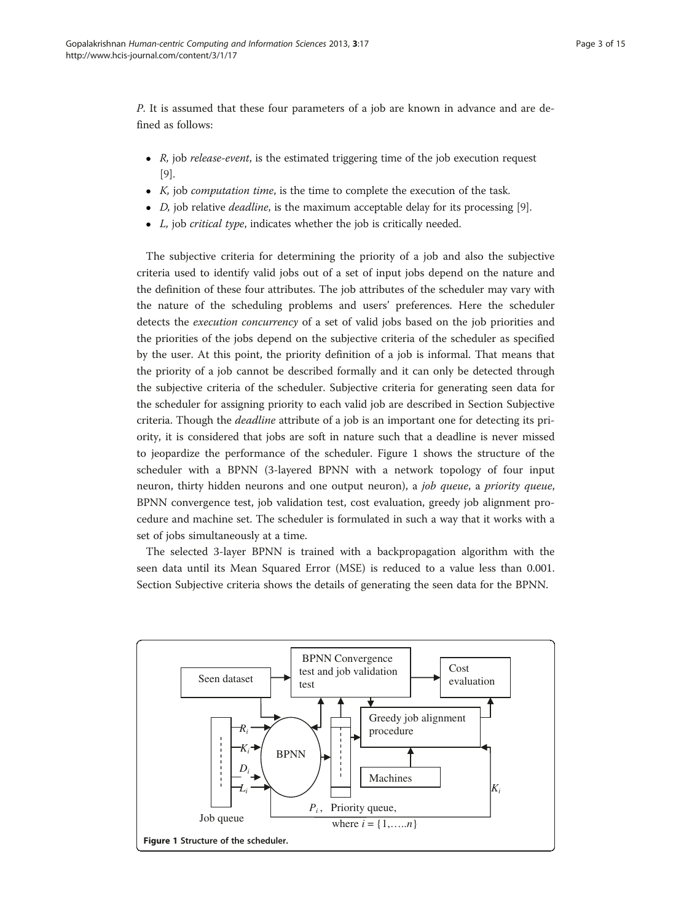P. It is assumed that these four parameters of a job are known in advance and are defined as follows:

- $R$ , job *release-event*, is the estimated triggering time of the job execution request [[9\]](#page-14-0).
- $\bullet$  K, job *computation time*, is the time to complete the execution of the task.
- $\bullet$  *D*, job relative *deadline*, is the maximum acceptable delay for its processing [[9\]](#page-14-0).
- $\bullet$  *L*, job *critical type*, indicates whether the job is critically needed.

The subjective criteria for determining the priority of a job and also the subjective criteria used to identify valid jobs out of a set of input jobs depend on the nature and the definition of these four attributes. The job attributes of the scheduler may vary with the nature of the scheduling problems and users' preferences. Here the scheduler detects the execution concurrency of a set of valid jobs based on the job priorities and the priorities of the jobs depend on the subjective criteria of the scheduler as specified by the user. At this point, the priority definition of a job is informal. That means that the priority of a job cannot be described formally and it can only be detected through the subjective criteria of the scheduler. Subjective criteria for generating seen data for the scheduler for assigning priority to each valid job are described in Section [Subjective](#page-4-0) [criteria](#page-4-0). Though the deadline attribute of a job is an important one for detecting its priority, it is considered that jobs are soft in nature such that a deadline is never missed to jeopardize the performance of the scheduler. Figure 1 shows the structure of the scheduler with a BPNN (3-layered BPNN with a network topology of four input neuron, thirty hidden neurons and one output neuron), a job queue, a priority queue, BPNN convergence test, job validation test, cost evaluation, greedy job alignment procedure and machine set. The scheduler is formulated in such a way that it works with a set of jobs simultaneously at a time.

The selected 3-layer BPNN is trained with a backpropagation algorithm with the seen data until its Mean Squared Error (MSE) is reduced to a value less than 0.001. Section [Subjective criteria](#page-4-0) shows the details of generating the seen data for the BPNN.

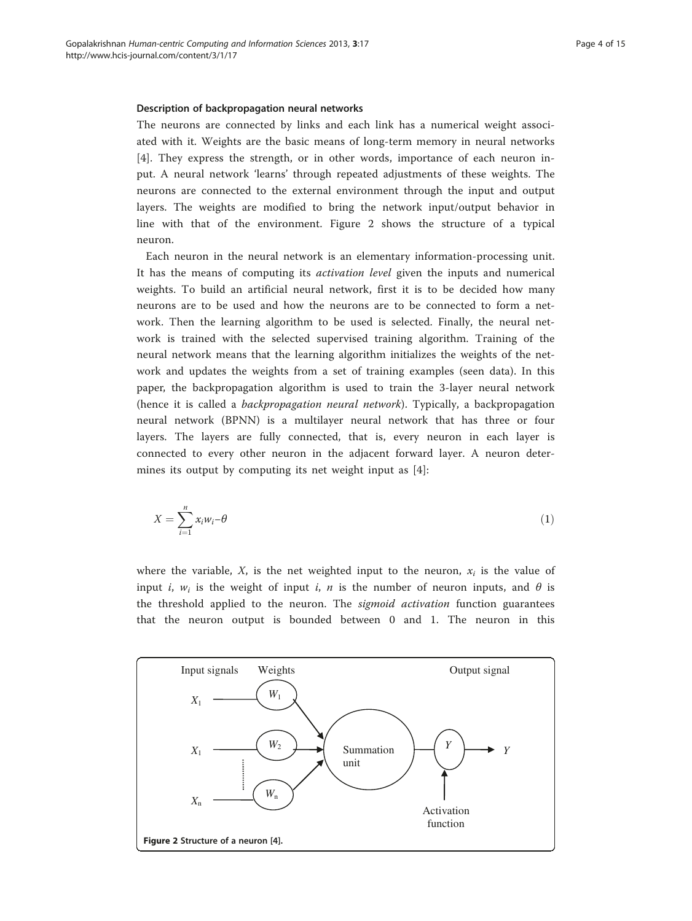#### Description of backpropagation neural networks

The neurons are connected by links and each link has a numerical weight associated with it. Weights are the basic means of long-term memory in neural networks [[4\]](#page-14-0). They express the strength, or in other words, importance of each neuron input. A neural network 'learns' through repeated adjustments of these weights. The neurons are connected to the external environment through the input and output layers. The weights are modified to bring the network input/output behavior in line with that of the environment. Figure 2 shows the structure of a typical neuron.

Each neuron in the neural network is an elementary information-processing unit. It has the means of computing its activation level given the inputs and numerical weights. To build an artificial neural network, first it is to be decided how many neurons are to be used and how the neurons are to be connected to form a network. Then the learning algorithm to be used is selected. Finally, the neural network is trained with the selected supervised training algorithm. Training of the neural network means that the learning algorithm initializes the weights of the network and updates the weights from a set of training examples (seen data). In this paper, the backpropagation algorithm is used to train the 3-layer neural network (hence it is called a backpropagation neural network). Typically, a backpropagation neural network (BPNN) is a multilayer neural network that has three or four layers. The layers are fully connected, that is, every neuron in each layer is connected to every other neuron in the adjacent forward layer. A neuron determines its output by computing its net weight input as [[4\]](#page-14-0):

$$
X = \sum_{i=1}^{n} x_i w_i - \theta \tag{1}
$$

where the variable, X, is the net weighted input to the neuron,  $x_i$  is the value of input i,  $w_i$  is the weight of input i, n is the number of neuron inputs, and  $\theta$  is the threshold applied to the neuron. The *sigmoid activation* function guarantees that the neuron output is bounded between 0 and 1. The neuron in this

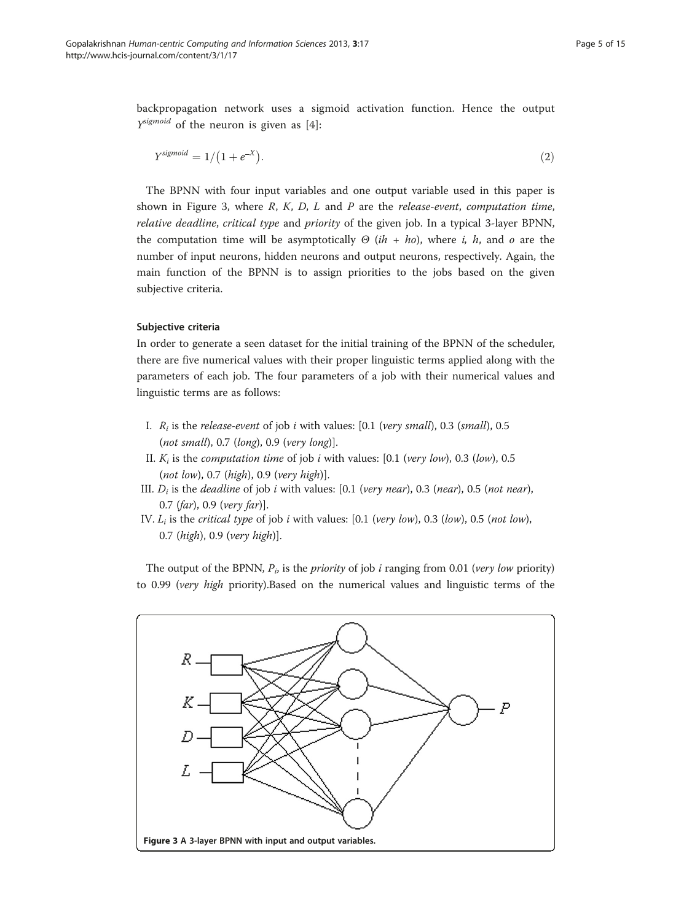<span id="page-4-0"></span>backpropagation network uses a sigmoid activation function. Hence the output  $Y^{sigmoid}$  of the neuron is given as [\[4](#page-14-0)]:

$$
Y^{sigmoid} = 1/(1 + e^{-X}).
$$
\n<sup>(2)</sup>

The BPNN with four input variables and one output variable used in this paper is shown in Figure 3, where  $R$ ,  $K$ ,  $D$ ,  $L$  and  $P$  are the *release-event*, *computation time*, relative deadline, critical type and priority of the given job. In a typical 3-layer BPNN, the computation time will be asymptotically  $\Theta$  (ih + ho), where i, h, and o are the number of input neurons, hidden neurons and output neurons, respectively. Again, the main function of the BPNN is to assign priorities to the jobs based on the given subjective criteria.

#### Subjective criteria

In order to generate a seen dataset for the initial training of the BPNN of the scheduler, there are five numerical values with their proper linguistic terms applied along with the parameters of each job. The four parameters of a job with their numerical values and linguistic terms are as follows:

- I.  $R_i$  is the release-event of job i with values: [0.1 (very small), 0.3 (small), 0.5 (not small), 0.7 (long), 0.9 (very long)].
- II.  $K_i$  is the computation time of job i with values: [0.1 (very low), 0.3 (low), 0.5 (not low), 0.7 (high), 0.9 (very high)].
- III.  $D_i$  is the *deadline* of job i with values: [0.1 (very near), 0.3 (near), 0.5 (not near), 0.7 (far), 0.9 (very far)].
- IV.  $L_i$  is the critical type of job i with values: [0.1 (very low), 0.3 (low), 0.5 (not low), 0.7 (high), 0.9 (very high)].

The output of the BPNN,  $P_i$ , is the *priority* of job *i* ranging from 0.01 (*very low* priority) to 0.99 (very high priority).Based on the numerical values and linguistic terms of the

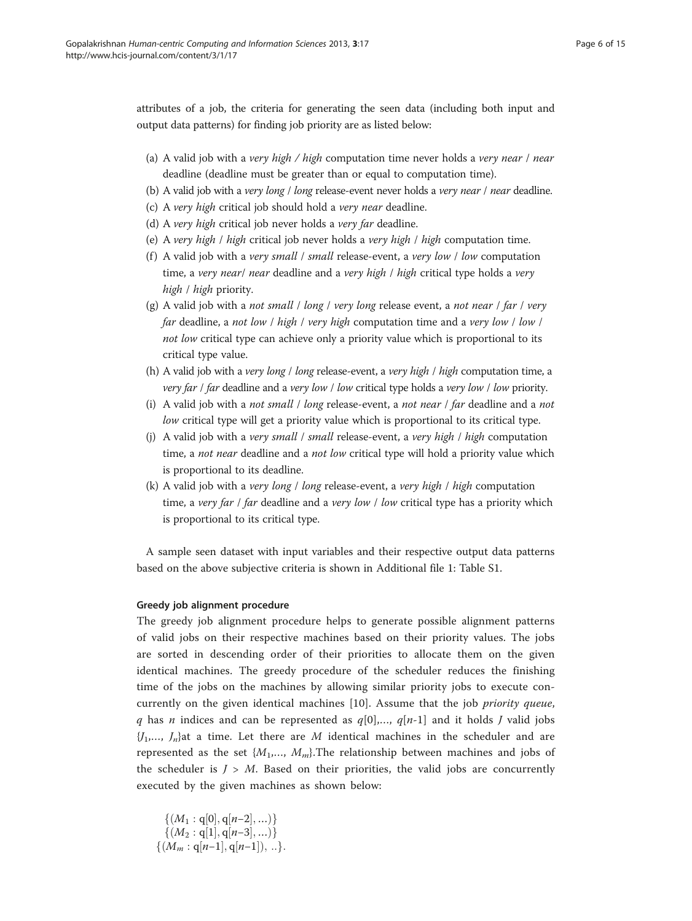attributes of a job, the criteria for generating the seen data (including both input and output data patterns) for finding job priority are as listed below:

- (a) A valid job with a *very high / high* computation time never holds a *very near / near* deadline (deadline must be greater than or equal to computation time).
- (b) A valid job with a very long / long release-event never holds a very near / near deadline.
- (c) A very high critical job should hold a very near deadline.
- (d) A very high critical job never holds a very far deadline.
- (e) A very high / high critical job never holds a very high / high computation time.
- (f) A valid job with a *very small / small* release-event, a *very low / low* computation time, a very near/ near deadline and a very high / high critical type holds a very high / high priority.
- (g) A valid job with a not small / long / very long release event, a not near / far / very far deadline, a not low / high / very high computation time and a very low / low / not low critical type can achieve only a priority value which is proportional to its critical type value.
- (h) A valid job with a very long / long release-event, a very high / high computation time, a very far / far deadline and a very low / low critical type holds a very low / low priority.
- (i) A valid job with a not small / long release-event, a not near / far deadline and a not low critical type will get a priority value which is proportional to its critical type.
- (j) A valid job with a very small / small release-event, a very high / high computation time, a *not near* deadline and a *not low* critical type will hold a priority value which is proportional to its deadline.
- (k) A valid job with a very long / long release-event, a very high / high computation time, a very far / far deadline and a very low / low critical type has a priority which is proportional to its critical type.

A sample seen dataset with input variables and their respective output data patterns based on the above subjective criteria is shown in Additional file [1](#page-14-0): Table S1.

#### Greedy job alignment procedure

The greedy job alignment procedure helps to generate possible alignment patterns of valid jobs on their respective machines based on their priority values. The jobs are sorted in descending order of their priorities to allocate them on the given identical machines. The greedy procedure of the scheduler reduces the finishing time of the jobs on the machines by allowing similar priority jobs to execute concurrently on the given identical machines [[10](#page-14-0)]. Assume that the job priority queue, q has n indices and can be represented as  $q[0],..., q[n-1]$  and it holds J valid jobs  ${J_1,..., J_n}$ at a time. Let there are M identical machines in the scheduler and are represented as the set  $\{M_1,..., M_m\}$ . The relationship between machines and jobs of the scheduler is  $J > M$ . Based on their priorities, the valid jobs are concurrently executed by the given machines as shown below:

 $\{(M_1 : q[0], q[n-2], ...) \}$  $\{(M_2 : q[1], q[n-3], ...) \}$  $\{(M_m : q[n-1], q[n-1]), ...\}.$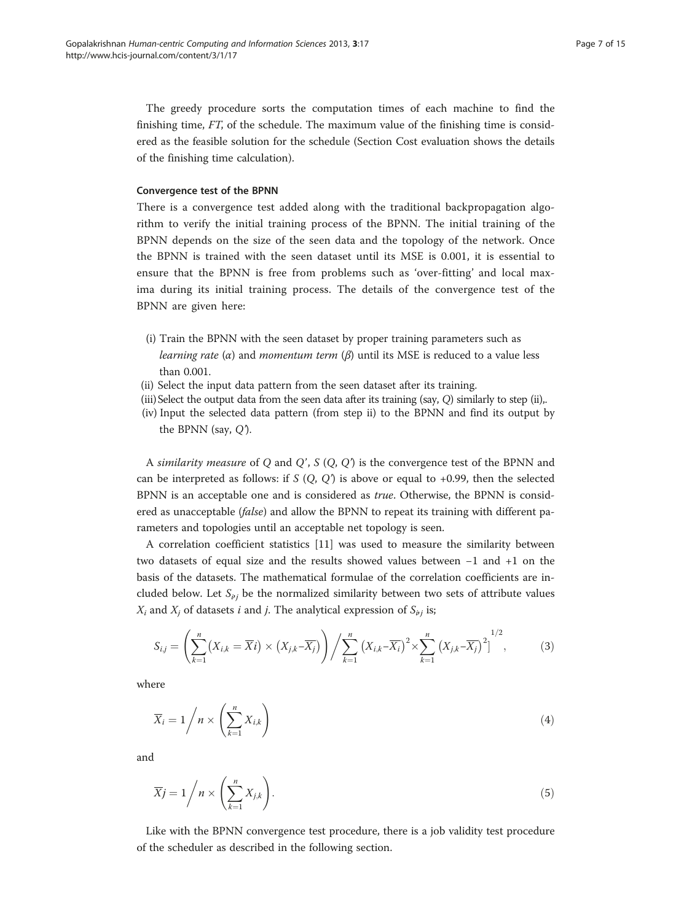The greedy procedure sorts the computation times of each machine to find the finishing time, FT, of the schedule. The maximum value of the finishing time is considered as the feasible solution for the schedule (Section [Cost evaluation](#page-8-0) shows the details of the finishing time calculation).

#### Convergence test of the BPNN

There is a convergence test added along with the traditional backpropagation algorithm to verify the initial training process of the BPNN. The initial training of the BPNN depends on the size of the seen data and the topology of the network. Once the BPNN is trained with the seen dataset until its MSE is 0.001, it is essential to ensure that the BPNN is free from problems such as 'over-fitting' and local maxima during its initial training process. The details of the convergence test of the BPNN are given here:

- (i) Train the BPNN with the seen dataset by proper training parameters such as *learning rate* ( $\alpha$ ) and *momentum term* ( $\beta$ ) until its MSE is reduced to a value less than 0.001.
- (ii) Select the input data pattern from the seen dataset after its training.
- (iii) Select the output data from the seen data after its training (say,  $Q$ ) similarly to step (ii),.
- (iv) Input the selected data pattern (from step ii) to the BPNN and find its output by the BPNN (say, Q').

A similarity measure of Q and Q', S  $(Q, Q')$  is the convergence test of the BPNN and can be interpreted as follows: if  $S(Q, Q')$  is above or equal to +0.99, then the selected BPNN is an acceptable one and is considered as true. Otherwise, the BPNN is considered as unacceptable *(false)* and allow the BPNN to repeat its training with different parameters and topologies until an acceptable net topology is seen.

A correlation coefficient statistics [\[11\]](#page-14-0) was used to measure the similarity between two datasets of equal size and the results showed values between −1 and +1 on the basis of the datasets. The mathematical formulae of the correlation coefficients are included below. Let  $S_{ij}$  be the normalized similarity between two sets of attribute values  $X_i$  and  $X_j$  of datasets i and j. The analytical expression of  $S_{ij}$  is;

$$
S_{i,j} = \left(\sum_{k=1}^n (X_{i,k} = \overline{X}i) \times (X_{j,k} - \overline{X}_j)\right) / \sum_{k=1}^n (X_{i,k} - \overline{X}_i)^2 \times \sum_{k=1}^n (X_{j,k} - \overline{X}_j)^2 \Big]^{1/2},\tag{3}
$$

where

$$
\overline{X}_i = 1 / n \times \left(\sum_{k=1}^n X_{i,k}\right) \tag{4}
$$

and

$$
\overline{X}j = 1 / n \times \left(\sum_{k=1}^{n} X_{j,k}\right). \tag{5}
$$

Like with the BPNN convergence test procedure, there is a job validity test procedure of the scheduler as described in the following section.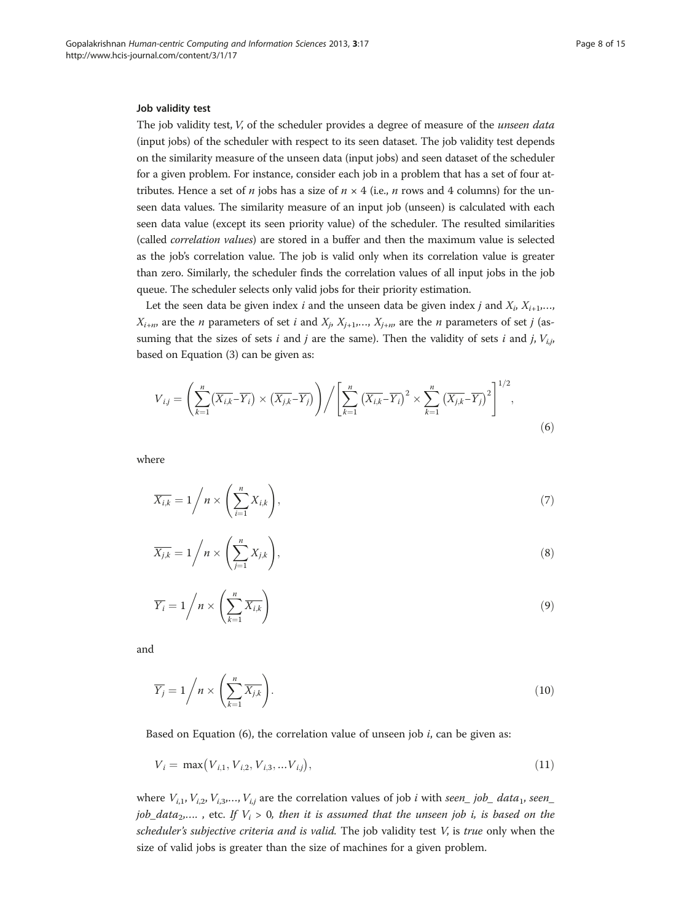#### Job validity test

The job validity test, V, of the scheduler provides a degree of measure of the *unseen data* (input jobs) of the scheduler with respect to its seen dataset. The job validity test depends on the similarity measure of the unseen data (input jobs) and seen dataset of the scheduler for a given problem. For instance, consider each job in a problem that has a set of four attributes. Hence a set of *n* jobs has a size of  $n \times 4$  (i.e., *n* rows and 4 columns) for the unseen data values. The similarity measure of an input job (unseen) is calculated with each seen data value (except its seen priority value) of the scheduler. The resulted similarities (called correlation values) are stored in a buffer and then the maximum value is selected as the job's correlation value. The job is valid only when its correlation value is greater than zero. Similarly, the scheduler finds the correlation values of all input jobs in the job queue. The scheduler selects only valid jobs for their priority estimation.

Let the seen data be given index i and the unseen data be given index j and  $X_i$ ,  $X_{i+1},...,$  $X_{i+n}$ , are the *n* parameters of set *i* and  $X_j$ ,  $X_{j+1},..., X_{j+n}$ , are the *n* parameters of set *j* (assuming that the sizes of sets i and j are the same). Then the validity of sets i and j,  $V_{i,p}$ based on Equation (3) can be given as:

$$
V_{i,j} = \left(\sum_{k=1}^{n} \left(\overline{X_{i,k}} - \overline{Y_i}\right) \times \left(\overline{X_{j,k}} - \overline{Y_j}\right)\right) \bigg/ \left[\sum_{k=1}^{n} \left(\overline{X_{i,k}} - \overline{Y_i}\right)^2 \times \sum_{k=1}^{n} \left(\overline{X_{j,k}} - \overline{Y_j}\right)^2\right]^{1/2},\tag{6}
$$

where

$$
\overline{X_{i,k}} = 1 / n \times \left(\sum_{i=1}^{n} X_{i,k}\right),\tag{7}
$$

$$
\overline{X_{j,k}} = 1 / n \times \left( \sum_{j=1}^{n} X_{j,k} \right), \tag{8}
$$

$$
\overline{Y_i} = 1 / n \times \left(\sum_{k=1}^n \overline{X_{i,k}}\right)
$$
\n(9)

and

$$
\overline{Y_j} = 1 / n \times \left( \sum_{k=1}^n \overline{X_{j,k}} \right). \tag{10}
$$

Based on Equation (6), the correlation value of unseen job  $i$ , can be given as:

$$
V_i = \max(V_{i,1}, V_{i,2}, V_{i,3}, \dots V_{i,j}),
$$
\n(11)

where  $V_{i,1}$ ,  $V_{i,2}$ ,  $V_{i,3}$ ,...,  $V_{i,j}$  are the correlation values of job *i* with seen\_job\_data<sub>1</sub>, seen\_ job\_data<sub>2</sub>,..., etc. If  $V_i > 0$ , then it is assumed that the unseen job i, is based on the scheduler's subjective criteria and is valid. The job validity test  $V$ , is true only when the size of valid jobs is greater than the size of machines for a given problem.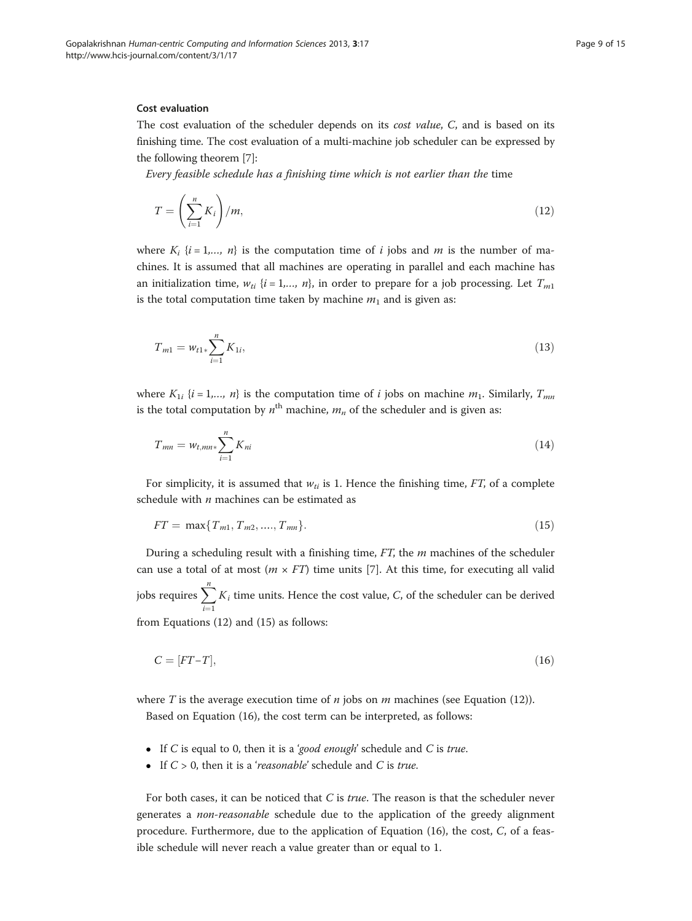#### <span id="page-8-0"></span>Cost evaluation

The cost evaluation of the scheduler depends on its *cost value*, C, and is based on its finishing time. The cost evaluation of a multi-machine job scheduler can be expressed by the following theorem [[7](#page-14-0)]:

Every feasible schedule has a finishing time which is not earlier than the time

$$
T = \left(\sum_{i=1}^{n} K_i\right) / m, \tag{12}
$$

where  $K_i$  { $i = 1,..., n$ } is the computation time of i jobs and m is the number of machines. It is assumed that all machines are operating in parallel and each machine has an initialization time,  $w_{ti}$  { $i = 1,..., n$ }, in order to prepare for a job processing. Let  $T_{mi}$ is the total computation time taken by machine  $m_1$  and is given as:

$$
T_{m1} = w_{t1*} \sum_{i=1}^{n} K_{1i},\tag{13}
$$

where  $K_{1i}$  { $i = 1,..., n$ } is the computation time of  $i$  jobs on machine  $m_1$ . Similarly,  $T_{mn}$ is the total computation by  $n^{\text{th}}$  machine,  $m_n$  of the scheduler and is given as:

$$
T_{mn} = w_{t,mn*} \sum_{i=1}^{n} K_{ni} \tag{14}
$$

For simplicity, it is assumed that  $w_{ti}$  is 1. Hence the finishing time, FT, of a complete schedule with  $n$  machines can be estimated as

$$
FT = \max\{T_{m1}, T_{m2}, \dots, T_{mn}\}.
$$
\n(15)

During a scheduling result with a finishing time,  $FT$ , the  $m$  machines of the scheduler can use a total of at most ( $m \times FT$ ) time units [\[7](#page-14-0)]. At this time, for executing all valid jobs requires  $\sum_{i=1}^{n} K_i$  time units. Hence the cost value, C, of the scheduler can be derived  $\frac{i-1}{1}$ from Equations (12) and (15) as follows:

$$
C = [FT - T],\tag{16}
$$

where T is the average execution time of  $n$  jobs on  $m$  machines (see Equation (12)). Based on Equation (16), the cost term can be interpreted, as follows:

- If C is equal to 0, then it is a 'good enough' schedule and C is true.
- If  $C > 0$ , then it is a 'reasonable' schedule and C is true.

For both cases, it can be noticed that  $C$  is *true*. The reason is that the scheduler never generates a non-reasonable schedule due to the application of the greedy alignment procedure. Furthermore, due to the application of Equation (16), the cost, C, of a feasible schedule will never reach a value greater than or equal to 1.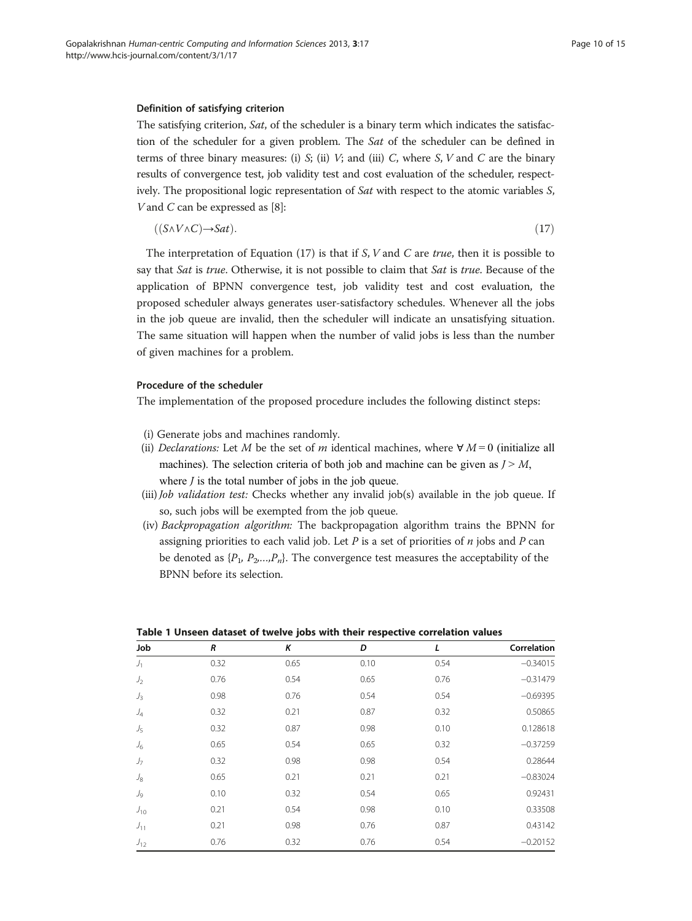#### <span id="page-9-0"></span>Definition of satisfying criterion

The satisfying criterion, Sat, of the scheduler is a binary term which indicates the satisfaction of the scheduler for a given problem. The Sat of the scheduler can be defined in terms of three binary measures: (i)  $S_i$  (ii)  $V_i$  and (iii) C, where S, V and C are the binary results of convergence test, job validity test and cost evaluation of the scheduler, respectively. The propositional logic representation of Sat with respect to the atomic variables S, V and C can be expressed as  $[8]$  $[8]$ :

$$
((S \land V \land C) \to Sat). \tag{17}
$$

The interpretation of Equation (17) is that if S, V and C are true, then it is possible to say that Sat is true. Otherwise, it is not possible to claim that Sat is true. Because of the application of BPNN convergence test, job validity test and cost evaluation, the proposed scheduler always generates user-satisfactory schedules. Whenever all the jobs in the job queue are invalid, then the scheduler will indicate an unsatisfying situation. The same situation will happen when the number of valid jobs is less than the number of given machines for a problem.

#### Procedure of the scheduler

The implementation of the proposed procedure includes the following distinct steps:

- (i) Generate jobs and machines randomly.
- (ii) Declarations: Let M be the set of m identical machines, where  $\forall M = 0$  (initialize all machines). The selection criteria of both job and machine can be given as  $J > M$ , where *J* is the total number of jobs in the job queue.
- (iii) Job validation test: Checks whether any invalid job(s) available in the job queue. If so, such jobs will be exempted from the job queue.
- (iv) Backpropagation algorithm: The backpropagation algorithm trains the BPNN for assigning priorities to each valid job. Let  $P$  is a set of priorities of  $n$  jobs and  $P$  can be denoted as  $\{P_1, P_2, ..., P_n\}$ . The convergence test measures the acceptability of the BPNN before its selection.

| Job      | R    | K    | D    | L    | Correlation |
|----------|------|------|------|------|-------------|
| $J_1$    | 0.32 | 0.65 | 0.10 | 0.54 | $-0.34015$  |
| $J_2$    | 0.76 | 0.54 | 0.65 | 0.76 | $-0.31479$  |
| $J_3$    | 0.98 | 0.76 | 0.54 | 0.54 | $-0.69395$  |
| $J_4$    | 0.32 | 0.21 | 0.87 | 0.32 | 0.50865     |
| $J_5$    | 0.32 | 0.87 | 0.98 | 0.10 | 0.128618    |
| $J_6$    | 0.65 | 0.54 | 0.65 | 0.32 | $-0.37259$  |
| $J_7$    | 0.32 | 0.98 | 0.98 | 0.54 | 0.28644     |
| $J_8$    | 0.65 | 0.21 | 0.21 | 0.21 | $-0.83024$  |
| Jg       | 0.10 | 0.32 | 0.54 | 0.65 | 0.92431     |
| $J_{10}$ | 0.21 | 0.54 | 0.98 | 0.10 | 0.33508     |
| $J_{11}$ | 0.21 | 0.98 | 0.76 | 0.87 | 0.43142     |
| $J_{12}$ | 0.76 | 0.32 | 0.76 | 0.54 | $-0.20152$  |

Table 1 Unseen dataset of twelve jobs with their respective correlation values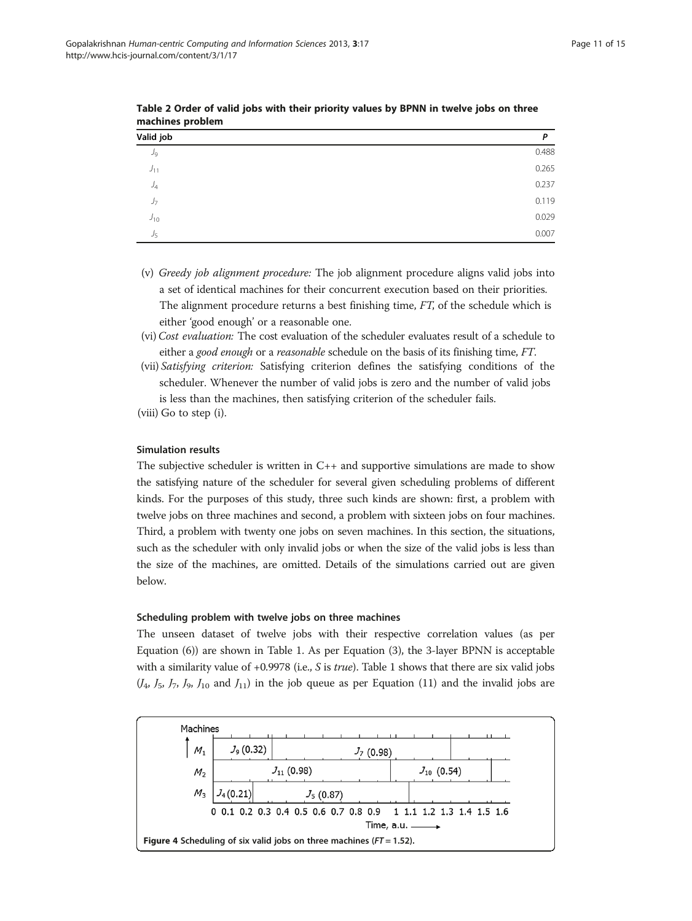| Valid job | P     |
|-----------|-------|
| J9        | 0.488 |
| $J_{11}$  | 0.265 |
| $J_4$     | 0.237 |
| $J_7$     | 0.119 |
| $J_{10}$  | 0.029 |
| $J_5$     | 0.007 |

<span id="page-10-0"></span>Table 2 Order of valid jobs with their priority values by BPNN in twelve jobs on three machines problem

- (v) Greedy job alignment procedure: The job alignment procedure aligns valid jobs into a set of identical machines for their concurrent execution based on their priorities. The alignment procedure returns a best finishing time, FT, of the schedule which is either 'good enough' or a reasonable one.
- (vi) Cost evaluation: The cost evaluation of the scheduler evaluates result of a schedule to either a good enough or a reasonable schedule on the basis of its finishing time, FT.
- (vii) Satisfying criterion: Satisfying criterion defines the satisfying conditions of the scheduler. Whenever the number of valid jobs is zero and the number of valid jobs is less than the machines, then satisfying criterion of the scheduler fails.

(viii) Go to step (i).

#### Simulation results

The subjective scheduler is written in C++ and supportive simulations are made to show the satisfying nature of the scheduler for several given scheduling problems of different kinds. For the purposes of this study, three such kinds are shown: first, a problem with twelve jobs on three machines and second, a problem with sixteen jobs on four machines. Third, a problem with twenty one jobs on seven machines. In this section, the situations, such as the scheduler with only invalid jobs or when the size of the valid jobs is less than the size of the machines, are omitted. Details of the simulations carried out are given below.

#### Scheduling problem with twelve jobs on three machines

The unseen dataset of twelve jobs with their respective correlation values (as per Equation (6)) are shown in Table [1.](#page-9-0) As per Equation (3), the 3-layer BPNN is acceptable with a similarity value of  $+0.9978$  (i.e., S is true). Table [1](#page-9-0) shows that there are six valid jobs  $(J_4, J_5, J_7, J_9, J_{10} \text{ and } J_{11})$  in the job queue as per Equation (11) and the invalid jobs are

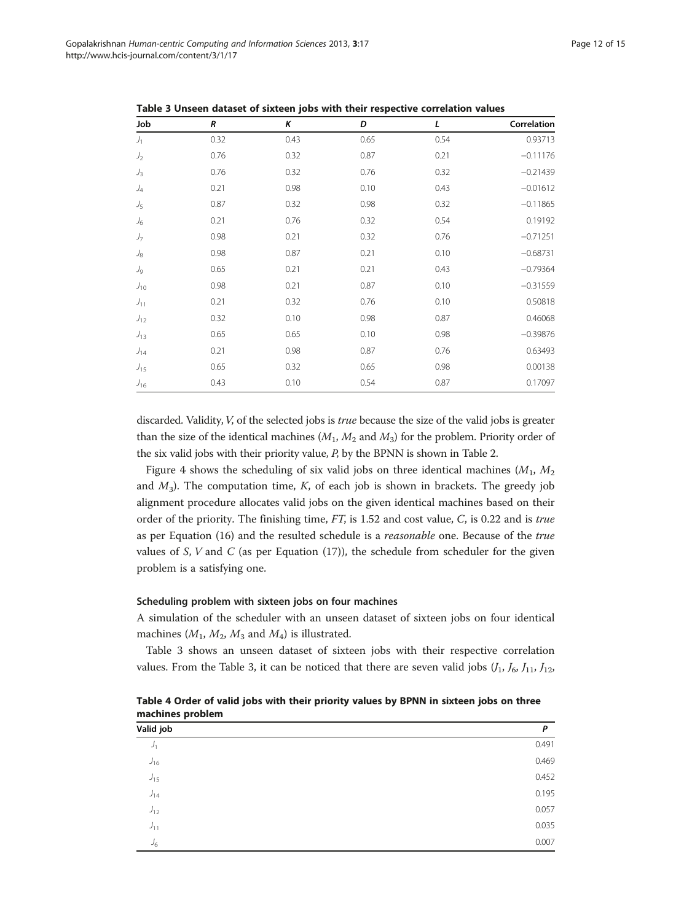| Job          | $\boldsymbol{R}$ | K    | D    | L    | Correlation |
|--------------|------------------|------|------|------|-------------|
| $J_1$        | 0.32             | 0.43 | 0.65 | 0.54 | 0.93713     |
| $J_2\,$      | 0.76             | 0.32 | 0.87 | 0.21 | $-0.11176$  |
| $J_3\,$      | 0.76             | 0.32 | 0.76 | 0.32 | $-0.21439$  |
| ${\cal J}_4$ | 0.21             | 0.98 | 0.10 | 0.43 | $-0.01612$  |
| $J_5$        | 0.87             | 0.32 | 0.98 | 0.32 | $-0.11865$  |
| $J_{\rm 6}$  | 0.21             | 0.76 | 0.32 | 0.54 | 0.19192     |
| $J_7$        | 0.98             | 0.21 | 0.32 | 0.76 | $-0.71251$  |
| $J_{8}$      | 0.98             | 0.87 | 0.21 | 0.10 | $-0.68731$  |
| $J_{9}$      | 0.65             | 0.21 | 0.21 | 0.43 | $-0.79364$  |
| $J_{10}$     | 0.98             | 0.21 | 0.87 | 0.10 | $-0.31559$  |
| $J_{11}$     | 0.21             | 0.32 | 0.76 | 0.10 | 0.50818     |
| $J_{12}$     | 0.32             | 0.10 | 0.98 | 0.87 | 0.46068     |
| $J_{13}$     | 0.65             | 0.65 | 0.10 | 0.98 | $-0.39876$  |
| $J_{14}$     | 0.21             | 0.98 | 0.87 | 0.76 | 0.63493     |
| $J_{15}$     | 0.65             | 0.32 | 0.65 | 0.98 | 0.00138     |
| $J_{16}$     | 0.43             | 0.10 | 0.54 | 0.87 | 0.17097     |

<span id="page-11-0"></span>Table 3 Unseen dataset of sixteen jobs with their respective correlation values

discarded. Validity, V, of the selected jobs is *true* because the size of the valid jobs is greater than the size of the identical machines  $(M_1, M_2$  and  $M_3)$  for the problem. Priority order of the six valid jobs with their priority value, P, by the BPNN is shown in Table [2.](#page-10-0)

Figure [4](#page-10-0) shows the scheduling of six valid jobs on three identical machines ( $M_1$ ,  $M_2$ and  $M_3$ ). The computation time, K, of each job is shown in brackets. The greedy job alignment procedure allocates valid jobs on the given identical machines based on their order of the priority. The finishing time,  $FT$ , is 1.52 and cost value,  $C$ , is 0.22 and is true as per Equation (16) and the resulted schedule is a reasonable one. Because of the true values of S, V and C (as per Equation  $(17)$ ), the schedule from scheduler for the given problem is a satisfying one.

#### Scheduling problem with sixteen jobs on four machines

A simulation of the scheduler with an unseen dataset of sixteen jobs on four identical machines  $(M_1, M_2, M_3$  and  $M_4$ ) is illustrated.

Table 3 shows an unseen dataset of sixteen jobs with their respective correlation values. From the Table 3, it can be noticed that there are seven valid jobs  $(J_1, J_6, J_{11}, J_{12})$ 

| Valid job      | P     |
|----------------|-------|
| J <sub>1</sub> | 0.491 |
| $J_{16}$       | 0.469 |
| $J_{15}$       | 0.452 |
| $J_{14}$       | 0.195 |
| $J_{12}$       | 0.057 |
| $J_{11}$       | 0.035 |
| $J_6$          | 0.007 |

Table 4 Order of valid jobs with their priority values by BPNN in sixteen jobs on three machines problem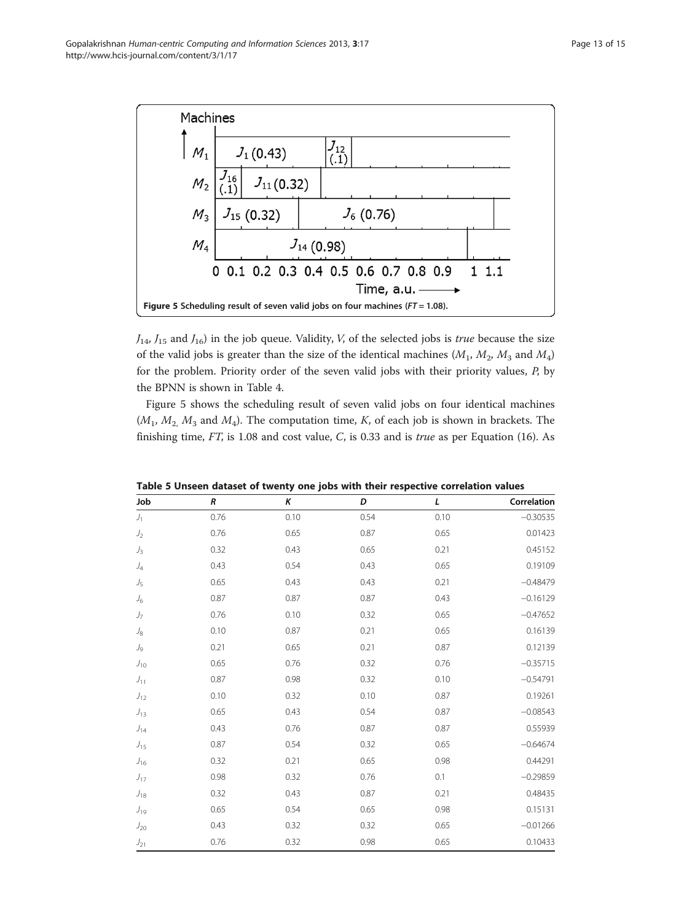<span id="page-12-0"></span>

 $J_{14}$ ,  $J_{15}$  and  $J_{16}$ ) in the job queue. Validity, V, of the selected jobs is *true* because the size of the valid jobs is greater than the size of the identical machines  $(M_1, M_2, M_3$  and  $M_4)$ for the problem. Priority order of the seven valid jobs with their priority values, P, by the BPNN is shown in Table [4](#page-11-0).

Figure 5 shows the scheduling result of seven valid jobs on four identical machines  $(M_1, M_2, M_3$  and  $M_4$ ). The computation time, K, of each job is shown in brackets. The finishing time, FT, is 1.08 and cost value, C, is 0.33 and is true as per Equation (16). As

| Job          | R    | Κ    | D    | L    | Correlation |
|--------------|------|------|------|------|-------------|
| $J_1$        | 0.76 | 0.10 | 0.54 | 0.10 | $-0.30535$  |
| $J_2$        | 0.76 | 0.65 | 0.87 | 0.65 | 0.01423     |
| $J_3$        | 0.32 | 0.43 | 0.65 | 0.21 | 0.45152     |
| $J_4$        | 0.43 | 0.54 | 0.43 | 0.65 | 0.19109     |
| $J_{5}$      | 0.65 | 0.43 | 0.43 | 0.21 | $-0.48479$  |
| $J_6$        | 0.87 | 0.87 | 0.87 | 0.43 | $-0.16129$  |
| $J_7\,$      | 0.76 | 0.10 | 0.32 | 0.65 | $-0.47652$  |
| $J_{8}$      | 0.10 | 0.87 | 0.21 | 0.65 | 0.16139     |
| $J_{9}$      | 0.21 | 0.65 | 0.21 | 0.87 | 0.12139     |
| $J_{\rm 10}$ | 0.65 | 0.76 | 0.32 | 0.76 | $-0.35715$  |
| $J_{11}$     | 0.87 | 0.98 | 0.32 | 0.10 | $-0.54791$  |
| $J_{12}$     | 0.10 | 0.32 | 0.10 | 0.87 | 0.19261     |
| $J_{13}$     | 0.65 | 0.43 | 0.54 | 0.87 | $-0.08543$  |
| $J_{14}$     | 0.43 | 0.76 | 0.87 | 0.87 | 0.55939     |
| $J_{15}$     | 0.87 | 0.54 | 0.32 | 0.65 | $-0.64674$  |
| $J_{\rm 16}$ | 0.32 | 0.21 | 0.65 | 0.98 | 0.44291     |
| $J_{17}$     | 0.98 | 0.32 | 0.76 | 0.1  | $-0.29859$  |
| $J_{18}$     | 0.32 | 0.43 | 0.87 | 0.21 | 0.48435     |
| $J_{19}$     | 0.65 | 0.54 | 0.65 | 0.98 | 0.15131     |
| $J_{20}$     | 0.43 | 0.32 | 0.32 | 0.65 | $-0.01266$  |
| $J_{21}$     | 0.76 | 0.32 | 0.98 | 0.65 | 0.10433     |

Table 5 Unseen dataset of twenty one jobs with their respective correlation values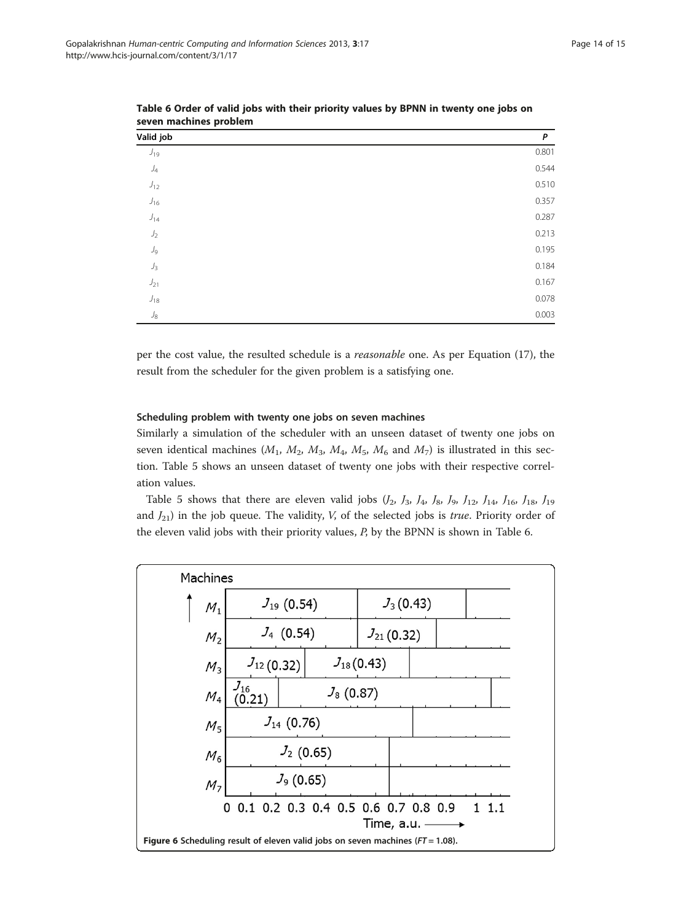| Valid job    | P     |
|--------------|-------|
| $J_{19}$     | 0.801 |
| ${\cal J}_4$ | 0.544 |
| $J_{12}$     | 0.510 |
| $J_{\rm 16}$ | 0.357 |
| $J_{14}$     | 0.287 |
| $J_2$        | 0.213 |
| $J_{9}$      | 0.195 |
| $J_3$        | 0.184 |
| $J_{21}$     | 0.167 |
| $J_{18}$     | 0.078 |
| $J_{8}$      | 0.003 |

<span id="page-13-0"></span>Table 6 Order of valid jobs with their priority values by BPNN in twenty one jobs on seven machines problem

per the cost value, the resulted schedule is a reasonable one. As per Equation (17), the result from the scheduler for the given problem is a satisfying one.

#### Scheduling problem with twenty one jobs on seven machines

Similarly a simulation of the scheduler with an unseen dataset of twenty one jobs on seven identical machines ( $M_1$ ,  $M_2$ ,  $M_3$ ,  $M_4$ ,  $M_5$ ,  $M_6$  and  $M_7$ ) is illustrated in this section. Table [5](#page-12-0) shows an unseen dataset of twenty one jobs with their respective correlation values.

Table [5](#page-12-0) shows that there are eleven valid jobs  $(J_2, J_3, J_4, J_8, J_9, J_{12}, J_{14}, J_{16}, J_{18}, J_{19})$ and  $J_{21}$ ) in the job queue. The validity, V, of the selected jobs is *true*. Priority order of the eleven valid jobs with their priority values, P, by the BPNN is shown in Table 6.